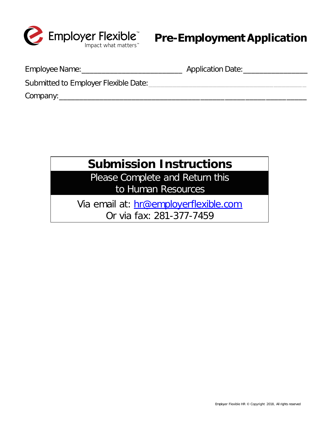

Employee Name:\_\_\_\_\_\_\_\_\_\_\_\_\_\_\_\_\_\_\_\_\_\_\_\_\_ Application Date:\_\_\_\_\_\_\_\_\_\_\_\_\_\_\_\_

Submitted to Employer Flexible Date:  $\Box$ 

Company:\_\_\_\_\_\_\_\_\_\_\_\_\_\_\_\_\_\_\_\_\_\_\_\_\_\_\_\_\_\_\_\_\_\_\_\_\_\_\_\_\_\_\_\_\_\_\_\_\_\_\_\_\_\_\_\_\_\_\_\_\_

# **Submission Instructions**

Please Complete and Return this to Human Resources

Via email at: hr@employerflexible.com Or via fax: 281-377-7459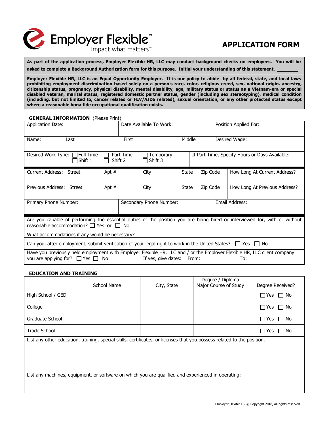

# **APPLICATION FORM**

**As part of the application process, Employer Flexible HR, LLC may conduct background checks on employees. You will be asked to complete a Background Authorization form for this purpose. Initial your understanding of this statement. \_\_\_\_\_**

**Employer Flexible HR, LLC is an Equal Opportunity Employer. It is our policy to abide by all federal, state, and local laws prohibiting employment discrimination based solely on a person's race, color, religious creed, sex, national origin, ancestry, citizenship status, pregnancy, physical disability, mental disability, age, military status or status as a Vietnam-era or special disabled veteran, marital status, registered domestic partner status, gender (including sex stereotyping), medical condition (including, but not limited to, cancer related or HIV/AIDS related), sexual orientation, or any other protected status except where a reasonable bona fide occupational qualification exists.** 

| <b>GENERAL INFORMATION</b> (Please Print)                                                                                                                                                                  |      |         |                         |              |          |               |                               |
|------------------------------------------------------------------------------------------------------------------------------------------------------------------------------------------------------------|------|---------|-------------------------|--------------|----------|---------------|-------------------------------|
| Application Date:                                                                                                                                                                                          |      |         | Date Available To Work: |              |          |               | Position Applied For:         |
| Name:                                                                                                                                                                                                      | Last |         | First<br>Middle         |              |          | Desired Wage: |                               |
| Desired Work Type: $\Box$ Full Time<br>Part Time<br>If Part Time, Specify Hours or Days Available:<br>Temporary<br>$\Box$ Shift 1<br>$\sqcap$ Shift 3<br>Shift 2                                           |      |         |                         |              |          |               |                               |
| Current Address: Street                                                                                                                                                                                    |      | Apt $#$ | City                    | State        | Zip Code |               | How Long At Current Address?  |
| Previous Address: Street                                                                                                                                                                                   |      | Apt $#$ | City                    | <b>State</b> | Zip Code |               | How Long At Previous Address? |
| Primary Phone Number:                                                                                                                                                                                      |      |         | Secondary Phone Number: |              |          |               | Email Address:                |
| Are you capable of performing the essential duties of the position you are being hired or interviewed for, with or without<br>reasonable accommodation? $\Box$ Yes or $\Box$ No                            |      |         |                         |              |          |               |                               |
| What accommodations if any would be necessary?                                                                                                                                                             |      |         |                         |              |          |               |                               |
| Can you, after employment, submit verification of your legal right to work in the United States? $\Box$ Yes $\Box$ No                                                                                      |      |         |                         |              |          |               |                               |
| Have you previously held employment with Employer Flexible HR, LLC and / or the Employer Flexible HR, LLC client company<br>you are applying for? $\Box$ Yes $\Box$ No<br>If yes, give dates: From:<br>To: |      |         |                         |              |          |               |                               |

#### **EDUCATION AND TRAINING**

|                                                                                                                         | School Name | City, State | Degree / Diploma<br>Major Course of Study | Degree Received?        |  |  |
|-------------------------------------------------------------------------------------------------------------------------|-------------|-------------|-------------------------------------------|-------------------------|--|--|
| High School / GED                                                                                                       |             |             |                                           | $\Box$ Yes<br>$\Box$ No |  |  |
| College                                                                                                                 |             |             |                                           | $\Box$ Yes<br>$\Box$ No |  |  |
| Graduate School                                                                                                         |             |             |                                           | $\Box$ Yes<br>$\Box$ No |  |  |
| Trade School                                                                                                            |             |             |                                           | $\Box$ Yes $\Box$ No    |  |  |
| List any other education, training, special skills, certificates, or licenses that you possess related to the position. |             |             |                                           |                         |  |  |
| List any machines, equipment, or software on which you are qualified and experienced in operating:                      |             |             |                                           |                         |  |  |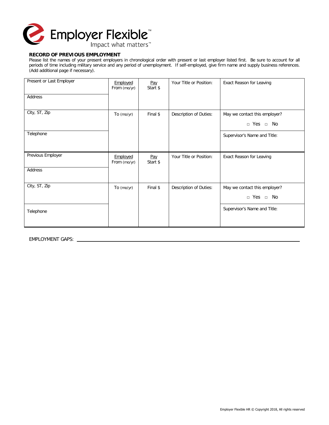

### **RECORD OF PREVIOUS EMPLOYMENT**

Please list the names of your present employers in chronological order with present or last employer listed first. Be sure to account for all periods of time including military service and any period of unemployment. If self-employed, give firm name and supply business references. (Add additional page if necessary).

| Present or Last Employer | Employed<br>From (mo/yr) | Pay<br>Start \$ | Your Title or Position: | Exact Reason for Leaving                              |
|--------------------------|--------------------------|-----------------|-------------------------|-------------------------------------------------------|
| Address                  |                          |                 |                         |                                                       |
| City, ST, Zip            | To (mo/yr)               | Final \$        | Description of Duties:  | May we contact this employer?<br>$\Box$ Yes $\Box$ No |
| Telephone                |                          |                 |                         | Supervisor's Name and Title:                          |
| Previous Employer        | Employed<br>From (mo/yr) | Pay<br>Start \$ | Your Title or Position: | Exact Reason for Leaving                              |
| Address                  |                          |                 |                         |                                                       |
| City, ST, Zip            | To (mo/yr)               | Final \$        | Description of Duties:  | May we contact this employer?<br>$\Box$ Yes $\Box$ No |
| Telephone                |                          |                 |                         | Supervisor's Name and Title:                          |

EMPLOYMENT GAPS: